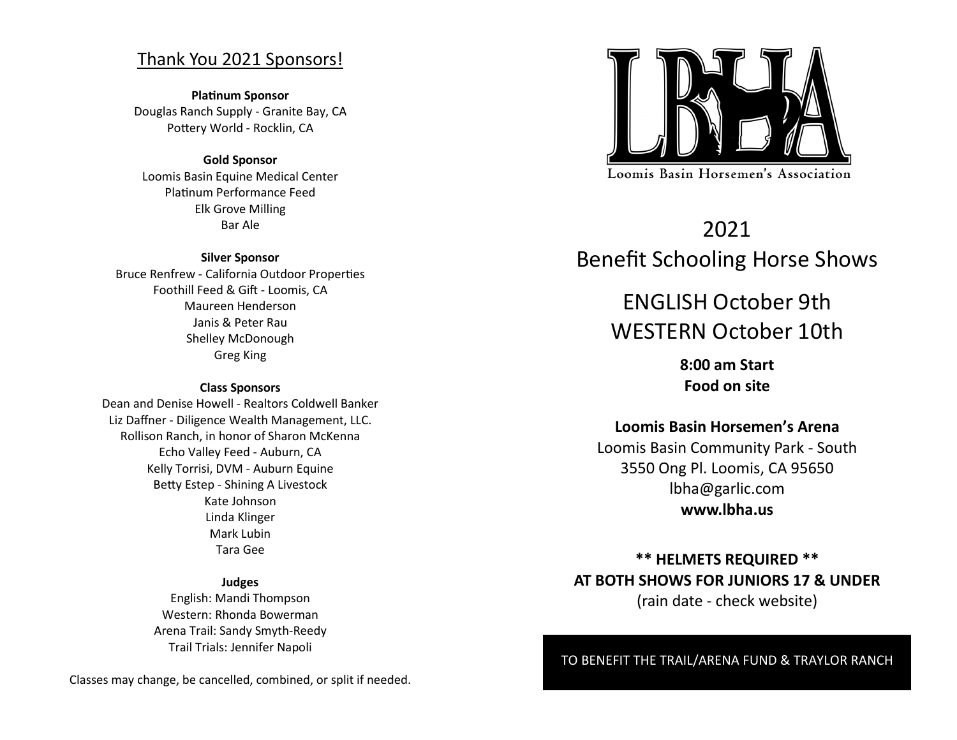## Thank You 2021 Sponsors!

**Platinum Sponsor** Douglas Ranch Supply - Granite Bay, CA Pottery World - Rocklin, CA

### **Gold Sponsor**

Loomis Basin Equine Medical Center Platinum Performance Feed Elk Grove Milling Bar Ale

### **Silver Sponsor**

Bruce Renfrew - California Outdoor Properties Foothill Feed & Gift - Loomis, CA Maureen Henderson Janis & Peter Rau Shelley McDonough Greg King

### **Class Sponsors**

Dean and Denise Howell - Realtors Coldwell Banker Liz Daffner - Diligence Wealth Management, LLC. Rollison Ranch, in honor of Sharon McKenna Echo Valley Feed - Auburn, CA Kelly Torrisi, DVM - Auburn Equine Betty Estep - Shining A Livestock Kate Johnson Linda Klinger Mark Lubin Tara Gee

### **Judges**

English: Mandi Thompson Western: Rhonda Bowerman Arena Trail: Sandy Smyth-Reedy Trail Trials: Jennifer Napoli

Classes may change, be cancelled, combined, or split if needed.



# 2021 Benefit Schooling Horse Shows

# ENGLISH October 9th WESTERN October 10th

**8:00 am Start Food on site**

### **Loomis Basin Horsemen's Arena**

Loomis Basin Community Park - South 3550 Ong Pl. Loomis, CA 95650 lbha@garlic.com **www.lbha.us**

## **\*\* HELMETS REQUIRED \*\* AT BOTH SHOWS FOR JUNIORS 17 & UNDER** (rain date - check website)

### TO BENEFIT THE TRAIL/ARENA FUND & TRAYLOR RANCH